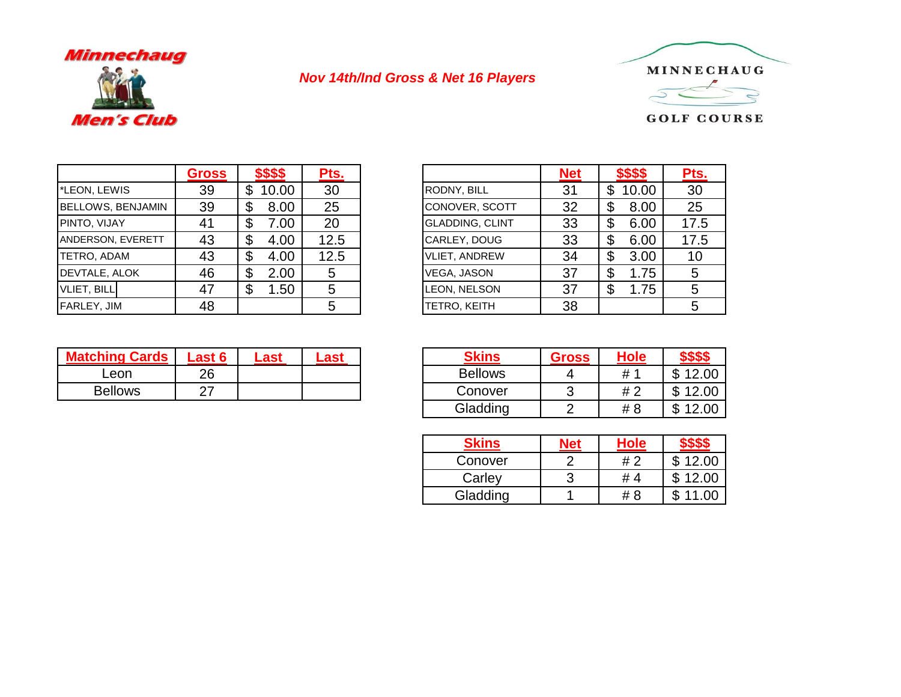

## *Nov 14th/Ind Gross & Net 16 Players*



**GOLF COURSE** 

|                          | <b>Gross</b> | \$\$\$\$    | Pts. |                        | <b>Net</b> | \$\$\$\$ | Pts.            |
|--------------------------|--------------|-------------|------|------------------------|------------|----------|-----------------|
| *LEON, LEWIS             | 39           | 10.00<br>\$ | 30   | <b>RODNY, BILL</b>     | 31         | 10.00    | 30              |
| <b>BELLOWS, BENJAMIN</b> | 39           | 8.00        | 25   | CONOVER, SCOTT         | 32         | 8.00     | 25              |
| <b>PINTO, VIJAY</b>      |              | 7.00        | 20   | <b>GLADDING, CLINT</b> | 33         | 6.00     | 17.5            |
| <b>ANDERSON, EVERETT</b> | 43           | 4.00        | 12.5 | CARLEY, DOUG           | 33         | 6.00     | 17.5            |
| TETRO, ADAM              | 43           | 4.00        | 12.5 | <b>VLIET, ANDREW</b>   | 34         | 3.00     | 10 <sup>°</sup> |
| DEVTALE, ALOK            | 46           | 2.00<br>\$  | 5    | VEGA, JASON            | 37         | . 75     | 5               |
| <b>VLIET, BILL</b>       | 47           | .50<br>S    | 5    | LEON, NELSON           | 37         | 1.75     |                 |
| <b>FARLEY, JIM</b>       | 48           |             | 5    | TETRO, KEITH           | 38         |          | 5               |

| <b>Gross</b> | \$\$\$\$    | Pts. |                        | <b>Net</b> | \$\$\$\$    | Pts. |
|--------------|-------------|------|------------------------|------------|-------------|------|
| 39           | 10.00<br>\$ | 30   | RODNY, BILL            | 31         | 10.00<br>\$ | 30   |
| 39           | 8.00<br>\$  | 25   | CONOVER, SCOTT         | 32         | \$<br>8.00  | 25   |
| 41           | \$<br>7.00  | 20   | <b>GLADDING, CLINT</b> | 33         | \$<br>6.00  | 17.5 |
| 43           | \$<br>4.00  | 12.5 | CARLEY, DOUG           | 33         | \$<br>6.00  | 17.5 |
| 43           | \$<br>4.00  | 12.5 | <b>VLIET, ANDREW</b>   | 34         | \$<br>3.00  | 10   |
| 46           | 2.00<br>\$  | 5    | VEGA, JASON            | 37         | \$<br>1.75  | 5    |
| 47           | 1.50<br>\$  | 5    | LEON, NELSON           | 37         | \$<br>1.75  | 5    |
| 48           |             | 5    | TETRO, KEITH           | 38         |             | 5    |

| <b>Matching Cards</b> | <b>Last 6</b> | ası |
|-----------------------|---------------|-----|
| _eon                  | 26            |     |
| <b>Bellows</b>        |               |     |

| Last 6 | ∟ast | .ast | <b>Skins</b>   | <b>Gross</b> | <b>Hole</b>    | ዎቃቃቀ       |
|--------|------|------|----------------|--------------|----------------|------------|
| 26     |      |      | <b>Bellows</b> |              | # <sup>′</sup> | 12.00<br>∩ |
| 27     |      |      | Conover        |              | #2             | 12.00<br>ጥ |
|        |      |      | Gladding       |              | # 8            | 12.00<br>ጦ |

| <b>Skins</b> | Nef | <b>Hole</b>   |       |
|--------------|-----|---------------|-------|
| Conover      |     | # 2           | 12.00 |
| Carley       |     | #<br>$\Delta$ | 12.00 |
| Gladding     |     | # 8           |       |